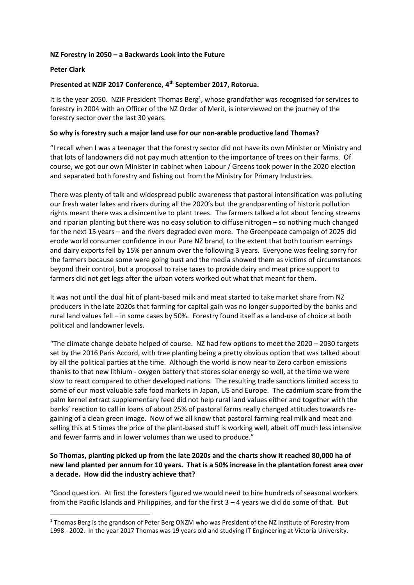### **NZ Forestry in 2050 – a Backwards Look into the Future**

#### **Peter Clark**

**.** 

### **Presented at NZIF 2017 Conference, 4th September 2017, Rotorua.**

It is the year 2050. NZIF President Thomas Berg<sup>1</sup>, whose grandfather was recognised for services to forestry in 2004 with an Officer of the NZ Order of Merit, is interviewed on the journey of the forestry sector over the last 30 years.

#### **So why is forestry such a major land use for our non-arable productive land Thomas?**

"I recall when I was a teenager that the forestry sector did not have its own Minister or Ministry and that lots of landowners did not pay much attention to the importance of trees on their farms. Of course, we got our own Minister in cabinet when Labour / Greens took power in the 2020 election and separated both forestry and fishing out from the Ministry for Primary Industries.

There was plenty of talk and widespread public awareness that pastoral intensification was polluting our fresh water lakes and rivers during all the 2020's but the grandparenting of historic pollution rights meant there was a disincentive to plant trees. The farmers talked a lot about fencing streams and riparian planting but there was no easy solution to diffuse nitrogen – so nothing much changed for the next 15 years – and the rivers degraded even more. The Greenpeace campaign of 2025 did erode world consumer confidence in our Pure NZ brand, to the extent that both tourism earnings and dairy exports fell by 15% per annum over the following 3 years. Everyone was feeling sorry for the farmers because some were going bust and the media showed them as victims of circumstances beyond their control, but a proposal to raise taxes to provide dairy and meat price support to farmers did not get legs after the urban voters worked out what that meant for them.

It was not until the dual hit of plant-based milk and meat started to take market share from NZ producers in the late 2020s that farming for capital gain was no longer supported by the banks and rural land values fell – in some cases by 50%. Forestry found itself as a land-use of choice at both political and landowner levels.

"The climate change debate helped of course. NZ had few options to meet the 2020 – 2030 targets set by the 2016 Paris Accord, with tree planting being a pretty obvious option that was talked about by all the political parties at the time. Although the world is now near to Zero carbon emissions thanks to that new lithium - oxygen battery that stores solar energy so well, at the time we were slow to react compared to other developed nations. The resulting trade sanctions limited access to some of our most valuable safe food markets in Japan, US and Europe. The cadmium scare from the palm kernel extract supplementary feed did not help rural land values either and together with the banks' reaction to call in loans of about 25% of pastoral farms really changed attitudes towards regaining of a clean green image. Now of we all know that pastoral farming real milk and meat and selling this at 5 times the price of the plant-based stuff is working well, albeit off much less intensive and fewer farms and in lower volumes than we used to produce."

# **So Thomas, planting picked up from the late 2020s and the charts show it reached 80,000 ha of new land planted per annum for 10 years. That is a 50% increase in the plantation forest area over a decade. How did the industry achieve that?**

"Good question. At first the foresters figured we would need to hire hundreds of seasonal workers from the Pacific Islands and Philippines, and for the first  $3 - 4$  years we did do some of that. But

<sup>&</sup>lt;sup>1</sup> Thomas Berg is the grandson of Peter Berg ONZM who was President of the NZ Institute of Forestry from 1998 - 2002. In the year 2017 Thomas was 19 years old and studying IT Engineering at Victoria University.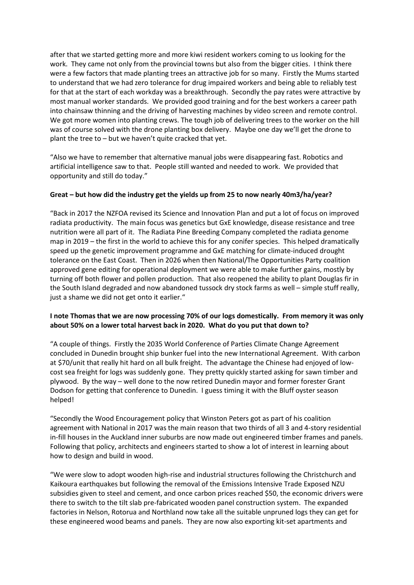after that we started getting more and more kiwi resident workers coming to us looking for the work. They came not only from the provincial towns but also from the bigger cities. I think there were a few factors that made planting trees an attractive job for so many. Firstly the Mums started to understand that we had zero tolerance for drug impaired workers and being able to reliably test for that at the start of each workday was a breakthrough. Secondly the pay rates were attractive by most manual worker standards. We provided good training and for the best workers a career path into chainsaw thinning and the driving of harvesting machines by video screen and remote control. We got more women into planting crews. The tough job of delivering trees to the worker on the hill was of course solved with the drone planting box delivery. Maybe one day we'll get the drone to plant the tree to – but we haven't quite cracked that yet.

"Also we have to remember that alternative manual jobs were disappearing fast. Robotics and artificial intelligence saw to that. People still wanted and needed to work. We provided that opportunity and still do today."

## **Great – but how did the industry get the yields up from 25 to now nearly 40m3/ha/year?**

"Back in 2017 the NZFOA revised its Science and Innovation Plan and put a lot of focus on improved radiata productivity. The main focus was genetics but GxE knowledge, disease resistance and tree nutrition were all part of it. The Radiata Pine Breeding Company completed the radiata genome map in 2019 – the first in the world to achieve this for any conifer species. This helped dramatically speed up the genetic improvement programme and GxE matching for climate-induced drought tolerance on the East Coast. Then in 2026 when then National/The Opportunities Party coalition approved gene editing for operational deployment we were able to make further gains, mostly by turning off both flower and pollen production. That also reopened the ability to plant Douglas fir in the South Island degraded and now abandoned tussock dry stock farms as well – simple stuff really, just a shame we did not get onto it earlier."

## **I note Thomas that we are now processing 70% of our logs domestically. From memory it was only about 50% on a lower total harvest back in 2020. What do you put that down to?**

"A couple of things. Firstly the 2035 World Conference of Parties Climate Change Agreement concluded in Dunedin brought ship bunker fuel into the new International Agreement. With carbon at \$70/unit that really hit hard on all bulk freight. The advantage the Chinese had enjoyed of lowcost sea freight for logs was suddenly gone. They pretty quickly started asking for sawn timber and plywood. By the way – well done to the now retired Dunedin mayor and former forester Grant Dodson for getting that conference to Dunedin. I guess timing it with the Bluff oyster season helped!

"Secondly the Wood Encouragement policy that Winston Peters got as part of his coalition agreement with National in 2017 was the main reason that two thirds of all 3 and 4-story residential in-fill houses in the Auckland inner suburbs are now made out engineered timber frames and panels. Following that policy, architects and engineers started to show a lot of interest in learning about how to design and build in wood.

"We were slow to adopt wooden high-rise and industrial structures following the Christchurch and Kaikoura earthquakes but following the removal of the Emissions Intensive Trade Exposed NZU subsidies given to steel and cement, and once carbon prices reached \$50, the economic drivers were there to switch to the tilt slab pre-fabricated wooden panel construction system. The expanded factories in Nelson, Rotorua and Northland now take all the suitable unpruned logs they can get for these engineered wood beams and panels. They are now also exporting kit-set apartments and